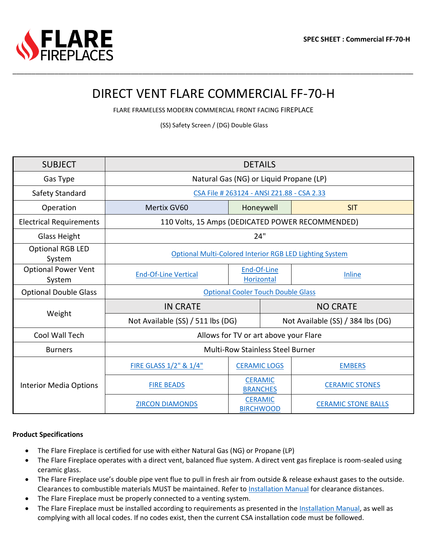# DIRECT VENT FLARE COMMERCIAL FF-70-H

\_\_\_\_\_\_\_\_\_\_\_\_\_\_\_\_\_\_\_\_\_\_\_\_\_\_\_\_\_\_\_\_\_\_\_\_\_\_\_\_\_\_\_\_\_\_\_\_\_\_\_\_\_\_\_\_\_\_\_\_\_\_\_\_\_\_\_\_\_\_\_\_\_\_\_\_\_\_\_\_\_\_\_\_\_\_\_\_\_\_\_\_\_\_\_\_\_\_\_\_\_\_\_\_\_

FLARE FRAMELESS MODERN COMMERCIAL FRONT FACING FIREPLACE

(SS) Safety Screen / (DG) Double Glass

| <b>SUBJECT</b>                       | <b>DETAILS</b>                                          |                                    |                                   |                            |  |  |  |  |
|--------------------------------------|---------------------------------------------------------|------------------------------------|-----------------------------------|----------------------------|--|--|--|--|
| Gas Type                             | Natural Gas (NG) or Liquid Propane (LP)                 |                                    |                                   |                            |  |  |  |  |
| Safety Standard                      | CSA File # 263124 - ANSI Z21.88 - CSA 2.33              |                                    |                                   |                            |  |  |  |  |
| Operation                            | Mertix GV60                                             | Honeywell                          |                                   | <b>SIT</b>                 |  |  |  |  |
| <b>Electrical Requirements</b>       | 110 Volts, 15 Amps (DEDICATED POWER RECOMMENDED)        |                                    |                                   |                            |  |  |  |  |
| Glass Height                         | 24"                                                     |                                    |                                   |                            |  |  |  |  |
| <b>Optional RGB LED</b><br>System    | Optional Multi-Colored Interior RGB LED Lighting System |                                    |                                   |                            |  |  |  |  |
| <b>Optional Power Vent</b><br>System | <b>End-Of-Line Vertical</b>                             | End-Of-Line<br>Horizontal          |                                   | Inline                     |  |  |  |  |
| <b>Optional Double Glass</b>         | <b>Optional Cooler Touch Double Glass</b>               |                                    |                                   |                            |  |  |  |  |
| Weight                               | <b>IN CRATE</b>                                         |                                    | <b>NO CRATE</b>                   |                            |  |  |  |  |
|                                      | Not Available (SS) / 511 lbs (DG)                       |                                    | Not Available (SS) / 384 lbs (DG) |                            |  |  |  |  |
| Cool Wall Tech                       | Allows for TV or art above your Flare                   |                                    |                                   |                            |  |  |  |  |
| <b>Burners</b>                       | <b>Multi-Row Stainless Steel Burner</b>                 |                                    |                                   |                            |  |  |  |  |
| <b>Interior Media Options</b>        | FIRE GLASS 1/2" & 1/4"                                  | <b>CERAMIC LOGS</b>                |                                   | <b>EMBERS</b>              |  |  |  |  |
|                                      | <b>FIRE BEADS</b>                                       | <b>CERAMIC</b><br><b>BRANCHES</b>  |                                   | <b>CERAMIC STONES</b>      |  |  |  |  |
|                                      | <b>ZIRCON DIAMONDS</b>                                  | <b>CERAMIC</b><br><b>BIRCHWOOD</b> |                                   | <b>CERAMIC STONE BALLS</b> |  |  |  |  |

#### **Product Specifications**

- The Flare Fireplace is certified for use with either Natural Gas (NG) or Propane (LP)
- The Flare Fireplace operates with a direct vent, balanced flue system. A direct vent gas fireplace is room-sealed using ceramic glass.
- The Flare Fireplace use's double pipe vent flue to pull in fresh air from outside & release exhaust gases to the outside. Clearances to combustible materials MUST be maintained. Refer to [Installation Manual](https://flarefireplaces.com/install_manual) for clearance distances.
- The Flare Fireplace must be properly connected to a venting system.
- The Flare Fireplace must be installed according to requirements as presented in the [Installation Manual,](https://flarefireplaces.com/install_manual) as well as complying with all local codes. If no codes exist, then the current CSA installation code must be followed.